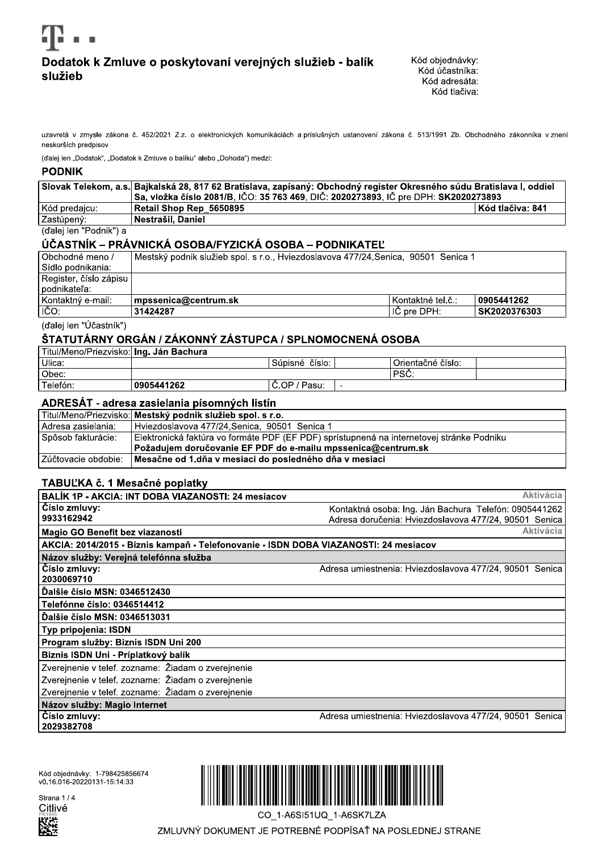

# Dodatok k Zmluve o poskytovaní verejných služieb - balík služieb

uzavretá v zmysle zákona č. 452/2021 Z.z. o elektronických komunikáciách a príslušných ustanovení zákona č. 513/1991 Zb. Obchodného zákonníka v znení neskorších predpisov

(ďalej len "Dodatok", "Dodatok k Zmluve o balíku" alebo "Dohoda") medzi:

### **PODNIK**

|                        | Slovak Telekom, a.s. Bajkalská 28, 817 62 Bratislava, zapísaný: Obchodný register Okresného súdu Bratislava I, oddiel |                         |  |
|------------------------|-----------------------------------------------------------------------------------------------------------------------|-------------------------|--|
|                        | Sa, vložka číslo 2081/B, IČO: 35 763 469, DIČ: 2020273893, IČ pre DPH: SK2020273893                                   |                         |  |
| Kód predajcu: _        | Retail Shop Rep 5650895 Re                                                                                            | <b>Kód tlačiva: 841</b> |  |
| l Zastúpený:           | Nestrašil, Daniel                                                                                                     |                         |  |
| (ďalej len "Podnik") a |                                                                                                                       |                         |  |

## ÚČASTNÍK – PRÁVNICKÁ OSOBA/FYZICKÁ OSOBA – PODNIKATEĽ

| Obchodné meno /        | Mestský podnik služieb spol. s r.o., Hviezdoslavova 477/24,Senica, 90501 Senica 1 |                     |              |
|------------------------|-----------------------------------------------------------------------------------|---------------------|--------------|
| Sídlo podnikania:      |                                                                                   |                     |              |
| Register, číslo zápisu |                                                                                   |                     |              |
| podnikateľa:           |                                                                                   |                     |              |
| Kontaktný e-mail:      | mpssenica@centrum.sk                                                              | l Kontaktné tel.č.: | 0905441262   |
| ličo:                  | 31424287                                                                          | l IČ pre DPH: .     | SK2020376303 |

(ďalej len "Účastník")

## ŠTATUTÁRNY ORGÁN / ZÁKONNÝ ZÁSTUPCA / SPLNOMOCNENÁ OSOBA

| l Titul/Meno/Priezvisko:  <b>Ing. Ján Bachura</b> |            |                       |   |                   |  |
|---------------------------------------------------|------------|-----------------------|---|-------------------|--|
| Ulica:                                            |            | číslo:<br>Súpisné     |   | Orientačné číslo: |  |
| Obec:                                             |            |                       |   | 'PS∪.             |  |
| Telefón:                                          | 0905441262 | Pasu:<br>/ מ∩<br>ັບເປ | - |                   |  |

### ADRESÁT - adresa zasielania písomných listín

|                         | Titul/Meno/Priezvisko: Mestský podnik služieb spol. s r.o.                                |
|-------------------------|-------------------------------------------------------------------------------------------|
| l Adresa zasielania:    | l Hviezdoslavova 477/24.Senica. 90501 Senica 1                                            |
| l Spôsob fakturácie:    | Elektronická faktúra vo formáte PDF (EF PDF) sprístupnená na internetovej stránke Podniku |
|                         | Požadujem doručovanie EF PDF do e-mailu mpssenica@centrum.sk                              |
| l Zúčtovacie obdobie: l | Mesačne od 1.dňa v mesiaci do posledného dňa v mesiaci                                    |

### TABUĽKA č. 1 Mesačné poplatky

| BALIK 1P - AKCIA: INT DOBA VIAZANOSTI: 24 mesiacov                                   | <b>Aktivácia</b>                                        |
|--------------------------------------------------------------------------------------|---------------------------------------------------------|
|                                                                                      |                                                         |
| Číslo zmluvy:                                                                        | Kontaktná osoba: Ing. Ján Bachura Telefón: 0905441262   |
| 9933162942                                                                           | Adresa doručenia: Hviezdoslavova 477/24, 90501 Senica   |
| Magio GO Benefit bez viazanosti                                                      | <b>Aktivácia</b>                                        |
| AKCIA: 2014/2015 - Biznis kampaň - Telefonovanie - ISDN DOBA VIAZANOSTI: 24 mesiacov |                                                         |
| Názov služby: Verejná telefónna služba                                               |                                                         |
| Číslo zmluvy:                                                                        | Adresa umiestnenia: Hviezdoslavova 477/24, 90501 Senica |
| 2030069710                                                                           |                                                         |
| Dalšie číslo MSN: 0346512430                                                         |                                                         |
| Telefónne číslo: 0346514412                                                          |                                                         |
| Dalšie číslo MSN: 0346513031                                                         |                                                         |
| Typ pripojenia: ISDN                                                                 |                                                         |
| Program služby: Biznis ISDN Uni 200                                                  |                                                         |
| Biznis ISDN Uni - Príplatkový balík                                                  |                                                         |
| Zverejnenie v telef. zozname: Žiadam o zverejnenie                                   |                                                         |
| Zverejnenie v telef. zozname: Žiadam o zverejnenie                                   |                                                         |
| Zverejnenie v telef. zozname: Žiadam o zverejnenie                                   |                                                         |
| Názov služby: Magio Internet                                                         |                                                         |
| Číslo zmluvy:                                                                        | Adresa umiestnenia: Hviezdoslavova 477/24, 90501 Senica |
| 2029382708                                                                           |                                                         |
|                                                                                      |                                                         |

Kód objednávky: 1-798425856674<br>v0.16.016-20220131-15:14:33





CO 1-A6SI51UQ 1-A6SK7LZA

ZMLUVNÝ DOKUMENT JE POTREBNÉ PODPÍSAŤ NA POSLEDNEJ STRANE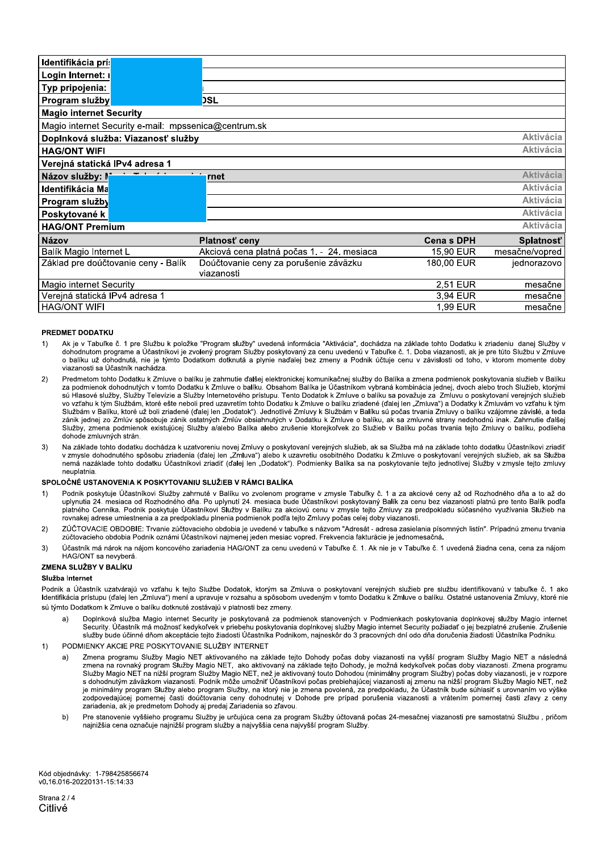| Identifikácia prís                                     |                                            |                  |                  |  |
|--------------------------------------------------------|--------------------------------------------|------------------|------------------|--|
| Login Internet: r                                      |                                            |                  |                  |  |
| Typ pripojenia:                                        |                                            |                  |                  |  |
| Program služby                                         | <b>DSL</b>                                 |                  |                  |  |
| <b>Magio internet Security</b>                         |                                            |                  |                  |  |
| Magio internet Security e-mail: mpssenica@centrum.sk   |                                            |                  |                  |  |
| <b>Aktivácia</b><br>Doplnková služba: Viazanosť služby |                                            |                  |                  |  |
| <b>HAG/ONT WIFI</b>                                    |                                            |                  | <b>Aktivácia</b> |  |
| Verejná statická IPv4 adresa 1                         |                                            |                  |                  |  |
| Názov služby: I*                                       | rnet                                       |                  | <b>Aktivácia</b> |  |
| Identifikácia Ma                                       |                                            |                  | <b>Aktivácia</b> |  |
| Program služby                                         |                                            |                  | <b>Aktivácia</b> |  |
| Poskytované k                                          |                                            |                  | <b>Aktivácia</b> |  |
| <b>HAG/ONT Premium</b>                                 |                                            |                  | <b>Aktivácia</b> |  |
| <b>Názov</b>                                           | Platnosť ceny                              | <b>Cenas DPH</b> | Splatnosť        |  |
| Balík Magio Internet L                                 | Akciová cena platná počas 1. - 24. mesiaca | 15,90 EUR        | mesačne/vopred   |  |
| Základ pre doúčtovanie ceny - Balík                    | Doúčtovanie ceny za porušenie záväzku      | 180,00 EUR       | jednorazovo      |  |
|                                                        | viazanosti                                 |                  |                  |  |
| <b>Magio internet Security</b>                         |                                            | 2,51 EUR         | mesačne          |  |
| Verejná statická IPv4 adresa 1                         |                                            | 3.94 EUR         | mesačne          |  |
| <b>HAG/ONT WIFI</b>                                    |                                            | 1,99 EUR         | mesačne          |  |

#### PREDMET DODATKU

- $1)$ Ak je v Tabuľke č. 1 pre Službu k položke "Program služby" uvedená informácia "Aktivácia", dochádza na základe tohto Dodatku k zriadeniu danej Služby v dohodnutom programe a Účastníkovi je zvolený program Služby poskytovaný za cenu uvedenú v Tabuľke č. 1. Doba viazanosti, ak je pre túto Službu v Zmluve o balíku už dohodnutá, nie je týmto Dodatkom dotknutá a plynie naďalej bez zmeny a Podnik účtuje cenu v závislosti od toho, v ktorom momente doby viazanosti sa Účastník nachádza.
- Predmetom tohto Dodatku k Zmluve o balíku je zahrnutie ďalšej elektronickej komunikačnej služby do Balíka a zmena podmienok poskytovania služieb v Balíku<br>za podmienok dohodnutých v tomto Dodatku k Zmluve o balíku. Obsahom  $2)$ sú Hlasové služby. Služby Televízie a Služby Internetového prístupu. Tento Dodatok k Zmluve o balíku sa považuje za Zmluvu o poskytovaní verejných služieb vo vzťahu k tým Službám, ktoré ešte neboli pred uzavretím tohto Dodatku k Zmluve o balíku zriadené (ďalej len "Zmluva") a Dodatky k Zmluvám vo vzťahu k tým Službám v Balíku, ktoré už boli zriadené (ďalej len "Dodatok"). Jednotlivé Zmluvy k Službám v Balíku sú počas trvania Zmluvy o balíku vzájomne závislé, a teda zánik jednej zo Zmlúv spôsobuje zánik ostatných Zmlúv obsiahnutých v Dodatku k Zmluve o balíku, ak sa zmluvné strany nedohodnú inak. Zahrnutie ďalšej Služby, zmena podmienok existujúcej Služby a/alebo Balíka alebo zrušenie ktorejkoľvek zo Služieb v Balíku počas trvania tejto Zmluvy o balíku, podlieha dohode zmluvných strán.
- Na základe tohto dodatku dochádza k uzatvoreniu novej Zmluvy o poskytovaní verejných služieb, ak sa Služba má na základe tohto dodatku Účastníkovi zriadiť<br>v zmysle dohodnutého spôsobu zriadenia (ďalej len "Zmluva") alebo k  $3)$ nemá nazáklade tohto dodatku Účastníkovi zriadiť (ďalej len "Dodatok"). Podmienky Balíka sa na poskytovanie tejto jednotlivej Služby v zmysle tejto zmluvy neuplatnia

#### SPOLOČNÉ USTANOVENIA K POSKYTOVANIU SLUŽIEB V RÁMCI BALÍKA

- Podnik poskytuje Účastníkovi Služby zahrnuté v Balíku vo zvolenom programe v zmysle Tabuľky č. 1 a za akciové ceny až od Rozhodného dňa a to až do  $1)$ uplynutia 24. mesiaca od Rozhodného dňa. Po uplynutí 24. mesiaca bude Účastníkovi poskytovaný Balík za cenu bez viazanosti platnú pre tento Balík podľa platného Cenníka. Podnik poskytuje Účastníkovi Služby v Balíku za akciovú cenu v zmysle tejto Zmluvy za predpokladu súčasného využívania Služieb na rovnakej adrese umiestnenia a za predpokladu plnenia podmienok podľa tejto Zmluvy počas celej doby viazanosti.
- ZÚČTOVACIE OBDOBIE: Trvanie zúčtovacieho obdobia je uvedené v tabuľke s názvom "Adresát adresa zasielania písomných listín". Prípadnú zmenu trvania  $2)$ zúčtovacieho obdobia Podnik oznámi Účastníkovi najmenej jeden mesiac vopred. Frekvencia fakturácie je jednomesačná.
- Účastník má nárok na nájom koncového zariadenia HAG/ONT za cenu uvedenú v Tabuľke č. 1. Ak nie je v Tabuľke č. 1 uvedená žiadna cena, cena za nájom  $3)$ HAG/ONT sa nevyberá.

#### ZMENA SLUŽBY V BALÍKU

#### Služba Internet

Podnik a Účastník uzatvárajú vo vzťahu k tejto Službe Dodatok, ktorým sa Zmluva o poskytovaní verejných služieb pre službu identifikovanú v tabuľke č. 1 ako Identifikácia prístupu (ďalej len "Zmluva") mení a upravuje v rozsahu a spôsobom uvedeným v tomto Dodatku k Zmluve o balíku. Ostatné ustanovenia Zmluvy, ktoré nie sú týmto Dodatkom k Zmluve o balíku dotknuté zostávajú v platnosti bez zmeny.

- Doplnková služba Magio internet Security je poskytovaná za podmienok stanovených v Podmienkach poskytovania doplnkovej služby Magio internet Security. Účastník má možnosť kedykoľvek v priebehu poskytovania doplnkovej služby Magio internet Security požiadať o jej bezplatné zrušenie. Zrušenie služby bude účinné dňom akceptácie tejto žiadosti Účastníka Podnikom, najneskôr do 3 pracovných dní odo dňa doručenia žiadosti Účastníka Podniku.
- PODMIENKY AKCIE PRE POSKYTOVANIE SLUŽBY INTERNET  $1)$ 
	- Zmena programu Služby Magio NET aktivovaného na základe tejto Dohody počas doby viazanosti na vyšší program Služby Magio NET a následná<br>zmena na rovnaký program Služby Magio NET, ako aktivovaný na základe tejto Dohody, je  $a)$ Služby Magio NET na nižší program Služby Magio NET, než je aktivovaný touto Dohodou (minimálny program Služby) počas doby viazanosti, je v rozpore s dohodnutým záväzkom viazanosti. Podnik môže umožniť Účastníkovi počas prebiehajúcej viazanosti aj zmenu na nížší program Služby Magio NET, než je minimálny program Služby alebo program Služby, na ktorý nie je zmena povolená, za predpokladu, že Účastník bude suhlasiť s urovnaním vo výške zodpovedajúcej pomernej časti doučtovania ceny dohodnutej v Dohode pre prípad porušenia viazanosti a vrátením pomernej časti zľavy z ceny zariadenia, ak je predmetom Dohody aj predaj Zariadenia so zľavou.
	- Pre stanovenie vyššieho programu Služby je určujúca cena za program Služby účtovaná počas 24-mesačnej viazanosti pre samostatnú Službu, pričom  $b)$ najnižšia cena označuje najnižší program služby a najvyššia cena najvyšší program Služby.

Kód objednávky: 1-798425856674 v0.16.016-20220131-15:14:33

Strana 2/4 Citlivé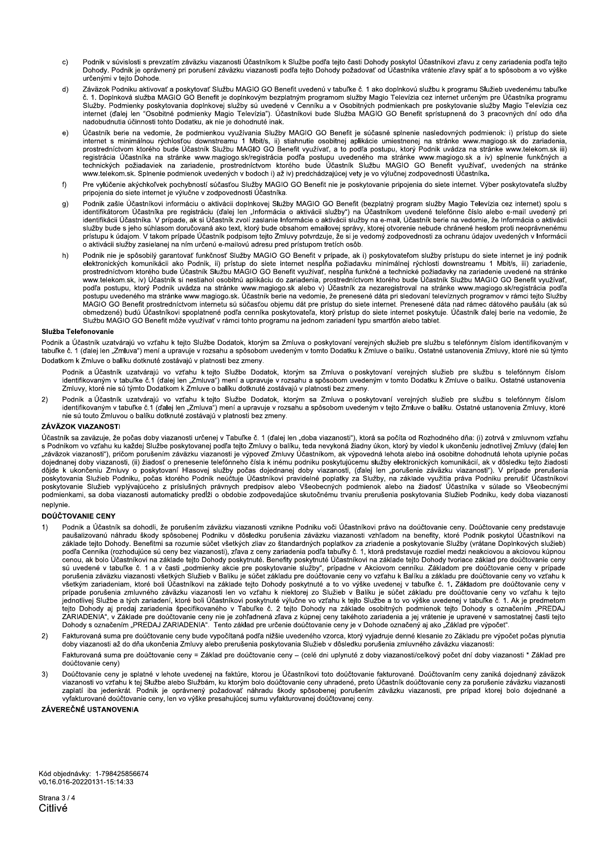- Podnik v súvislosti s prevzatím záväzku viazanosti Účastníkom k Službe podľa tejto časti Dohody poskytol Účastníkovi zľavu z ceny zariadenia podľa tejto  $\mathsf{c})$ Dohody. Podnik je oprávnený pri porušení záväzku viazanosti podľa tejto Dohody požadovať od Účastníka vrátenie zľavy späť a to spôsobom a vo výške určenými v tejto Dohode.
- Záväzok Podniku aktivovať a poskytovať Službu MAGIO GO Benefit uvedenú v tabuľke č. 1 ako doplnkovú službu k programu Služieb uvedenému tabuľke  $d)$ č. 1. Doplnková služba MAGIO GO Benefit je doplnkovým bezplatným programom služby Magio Televízia cez internet určeným pre Účastníka programu Služby. Podmienky poskytovania doplnkovej služby sú uvedené v Cenníku a v Osobitných podmienkach pre poskytovanie služby Magio Televízia cez internet (dalej len "Osobitné podmienky Magio Televízia"). Účastníkovi bude Služba MAGIO GO Benefit sprístupnená do 3 pracovných dní odo dňa nadobudnutia účinnosti tohto Dodatku, ak nie je dohodnuté inak.
- Účastník berie na vedomie, že podmienkou využívania Služby MAGIO GO Benefit je súčasné splnenie nasledovných podmienok: i) prístup do siete  $e)$ Statement s minimálnou rýchlosťou downstreamu 1 Mbit/s, ii) stiahnutie osobitnej aplikácie umiestnenej na stránke www.magiogo.sk do zariadenia,<br>prostredníctvom ktorého bude Účastník Službu MAGIO GO Benefit využívať, a to p
- Pre vylúčenie akýchkoľvek pochybností súčasťou Služby MAGIO GO Benefit nie je poskytovanie pripojenia do siete internet. Výber poskytovateľa služby  $f$ pripojenia do siete internet je výlučne v zodpovednosti Účastníka
- $g)$ Podnik zašle Účastníkovi informáciu o aktivácii doplnkovej Služby MAGIO GO Benefit (bezplatný program služby Magio Televízia cez internet) spolu s identifikátorom Účastníka pre registráciu (ďalej len "Informácia o aktivácii služby") na Účastníkom uvedené telefónne číslo alebo e-mail uvedený pri<br>identifikácii Účastníka. V prípade, ak si Účastník zvolí zaslanie Informá nen innach rozasuma. V pripade účastník podpisom tejto Zmluvy potvrdzuje, že si je vedomý zodpovednosti za ochranu údajov uvedených v Informácii<br>Prístupu k údajom. V takom prípade Účastník podpisom tejto Zmluvy potvrdzuje, o aktivácii služby zasielanej na ním určenú e-mailovú adresu pred prístupom tretích osôb.
- Podnik nie je spôsobilý garantovať funkčnosť Služby MAGIO GO Benefit v prípade, ak i) poskytovateľom služby prístupu do siete internet je iný podnik  $h)$ elektronických komunikácii ako Podnik, ili) prístup do siete internet nespĺňa požiadavku minimálnej rýchlosti downstreamu 1 Mbit/s, ili) zariadenie,<br>prostredníctvom ktorého bude Účastník Službu MAGIO GO Benefit využívať, n www.telekom.sk, iv) Účastník si nestiahol osobitnú aplikáciu do zariadenia, prostredníctvom ktorého bude Účastník Službu MAGIO GO Benefit využívať, podľa postupu, ktorý Podnik uvádza na stránke www.magiogo.sk alebo v) Účas MAGIO GO Benefit prostrednictvom internetu su sučasťou objemu dát pre prístup do siete internet. Prenesené dáta nad rámec dátového paušálu (ak sú suč obmedzené) budú Účastníkovi spoplatnené podľa cenníka poskytovateľa, ktorý prístup do siete internet poskytuje. Účastník ďalej berie na vedomie, že Službu MAGIO GO Benefit môže využívať v rámci tohto programu na jednom zariadení typu smartfón alebo tablet.

#### Služba Telefonovanie

Podnik a Účastník uzatvárajú vo vzťahu k tejto Službe Dodatok, ktorým sa Zmluva o poskytovaní verejných služieb pre službu s telefónnym číslom identifikovaným v tabuľke č. 1 (ďalej len "Zmluva") mení a upravuje v rozsahu a spôsobom uvedeným v tomto Dodatku k Zmluve o balíku. Ostatné ustanovenia Zmluvy, ktoré nie sú týmto Dodatkom k Zmluve o balíku dotknuté zostávajú v platnosti bez zmeny.

Podnik a Účastník uzatvárajú vo vzťahu k tejto Službe Dodatok, ktorým sa Zmluva o poskytovaní verejných služieb pre službu s telefónnym číslom identifikovaným v tabuľke č.1 (ďalej len "Zmluva") mení a upravuje v rozsahu a spôsobom uvedeným v tomto Dodatku k Zmluve o balíku. Ostatné ustanovenia Zmluvy, ktoré nie sú týmto Dodatkom k Zmluve o balíku dotknuté zostávajú v platnosti bez zmeny.

Podnik a Účastník uzatvárajú vo vzťahu k tejto Službe Dodatok, ktorým sa Zmluva o poskytovaní verejných služieb pre službu s telefónnym číslom  $2)$ identifikovaným v tabuľke č.1 (ďalej len "Zmluva") mení a upravuje v rozsahu a spôsobom uvedeným v tejto Zmluve o balíku. Ostatné ustanovenia Zmluvy, ktoré nie sú touto Zmluvou o balíku dotknuté zostávajú v platnosti bez zmeny.

#### **ZÁVÄZOK VIAZANOSTI**

Účastník sa zaväzuje, že počas doby viazanosti určenej v Tabuľke č. 1 (ďalej len "doba viazanosti"), ktorá sa počíta od Rozhodného dňa: (i) zotrvá v zmluvnom vzťahu s Podnikom vo vzťahu ku každej Službe poskytovanej podľa tejto Zmluvy o balíku, teda nevykoná žiadny úkon, ktorý by viedol k ukončeniu jednotlivej Zmluvy (ďalej len "záväzok viazanosti"), pričom porušením záväzku viazanosti je výpoveď Zmluvy Účastníkom, ak výpovedná lehota alebo iná osobitne dohodnutá lehota uplynie počas dojednanej doby viazanosti, (ii) žiadosť o prenesenie telefónneho čísla k inému podniku poskytujúcemu služby elektronických komunikácií, ak v dôsledku tejto žiadosti e dájde k ukončeniu Zmluvy o poskytovaní Hlasovej služby počas dojednanej doby viazanosti, (ďalej len "porušenie záväzku viazanosti"). V prípade prerušenia<br>poskytovania Služieb Podniku, počas ktorého Podnik neúčtuje Účastn postine and the product of the contract of the contract of the contract of the contract of the contract of the contract of the contract of the contract of the contract of the contract of the contract of the contract of the neplynie.

#### DOÚČTOVANIE CENY

- Podnik a Účastník sa dohodli, že porušením záväzku viazanosti vznikne Podniku voči Účastníkovi právo na doúčtovanie ceny. Doúčtovanie ceny predstavuje  $1)$ paušalizovanú náhradu škody spôsobenej Podniku v dôsledku porušenia záväzku viazanosti vzhľadom na benefity, ktoré Podnik poskytol Účastníkovi na podnik poskytol Účastníkovi na základe tejto Dohody. Benefitmi sa rozumie sú podľa Cenníka (rozhodujúce sú ceny bez viazanosti), zľava z ceny zariadenia podľa tabuľky č. 1. ktorá predstavuje rozdiel medzi neakciovou a akciovou kúpnou cenou, ak bolo Účastníkovi na základe tejto Dohody poskytnuté. Benefity poskytnuté Účastníkovi na základe tejto Dohody tvoriace základ pre doučtovanie ceny sú uvedené v tabuľke č. 1 a v časti "podmienky akcie pre poskytovanie služby", prípadne v Akciovom cenníku. Základom pre doúčtovanie ceny v prípade<br>porušenia záväzku viazanosti všetkých Služieb v Balíku je súčet základu pr porusenia zavazku viazanosti vsetkych Služieb v Baliku je sucet zakladu pre douctovanie ceny vo vztanu k Baliku a zakladu pre douctovanie ceny vo vztanu k<br>všetkým zariadeniam, ktoré boli Účastníkovi na základe tejto Dohody
- Fakturovaná suma pre doúčtovanie ceny bude vypočítaná podľa nižšie uvedeného vzorca, ktorý vyjadruje denné klesanie zo Základu pre výpočet počas plynutia  $(2)$ doby viazanosti až do dňa ukončenia Zmluvy alebo prerušenia poskytovania Služieb v dôsledku porušenia zmluvného záväzku viazanosti: Fakturovaná suma pre doúčtovanie ceny = Základ pre doúčtovanie ceny - (celé dni uplynuté z doby viazanosti/celkový počet dní doby viazanosti \* Základ pre doúčtovanie cenv)
- Doúčtovanie ceny je splatné v lehote uvedenej na faktúre, ktorou je Účastníkovi toto doúčtovanie fakturované. Doúčtovaním ceny zaniká dojednaný záväzok  $3)$ Description of the Suite of Suite of Suitable Description of the Community of the Construction of the Community of the Suitable Description of the Suitable Description of the Suitable Description of the Suitable Descriptio zaplatí iba jedenkrát. Podnik je oprávnený požadovať náhradu škody spôsobenej porušením záväzku viazanosti, pre prípad ktorej bolo dojednané a vyfakturované doúčtovanie ceny, len vo výške presahujúcej sumu vyfakturovanej doúčtovanej ceny.

ZÁVEREČNÉ USTANOVENIA

Kód objednávky: 1-798425856674 v0.16.016-20220131-15:14:33